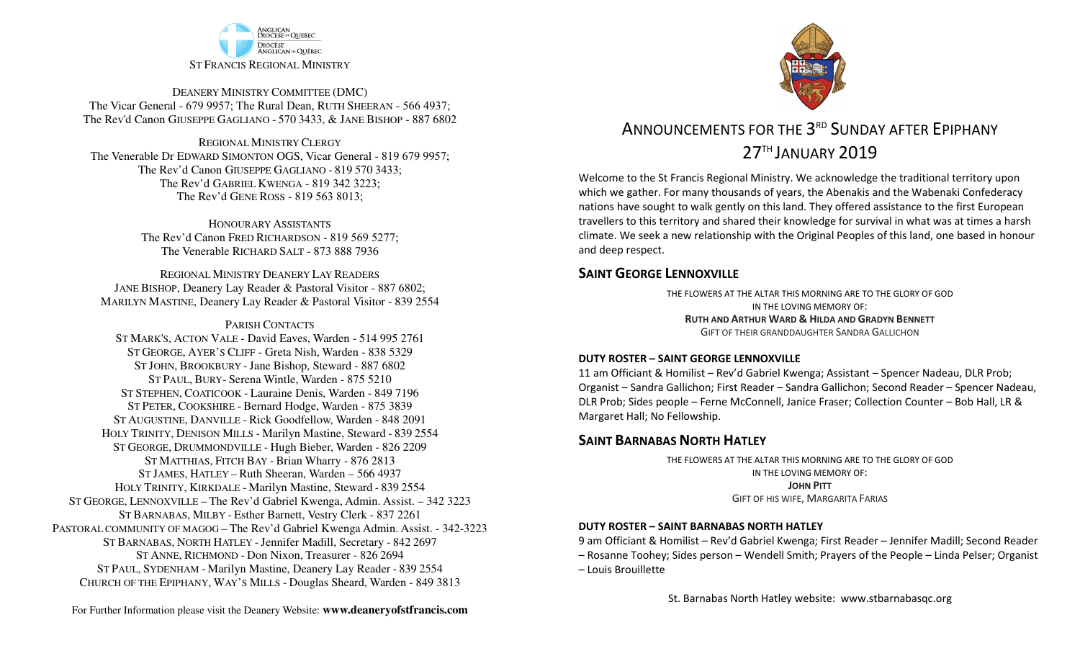

DEANERY MINISTRY COMMITTEE (DMC) The Vicar General - 679 9957; The Rural Dean, RUTH SHEERAN - 566 4937; The Rev'd Canon GIUSEPPE GAGLIANO - <sup>570</sup> 3433, & JANE BISHOP - 887 6802

REGIONAL MINISTRY CLERGY The Venerable Dr EDWARD SIMONTON OGS, Vicar General - 819 679 9957;The Rev'd Canon GIUSEPPE GAGLIANO - <sup>819</sup> <sup>570</sup> 3433; The Rev'd GABRIEL KWENGA - 819 342 3223;The Rev'd GENE ROSS - 819 563 8013;

> HONOURARY ASSISTANTS The Rev'd Canon FRED RICHARDSON - 819 569 5277;The Venerable RICHARD SALT - 873 888 7936

REGIONAL MINISTRY DEANERY LAY READERS JANE BISHOP, Deanery Lay Reader & Pastoral Visitor - 887 6802;MARILYN MASTINE, Deanery Lay Reader & Pastoral Visitor - 839 2554

#### PARISH CONTACTS

 ST MARK'S, ACTON VALE - David Eaves, Warden - 514 995 2761 ST GEORGE, AYER'S CLIFF - Greta Nish, Warden - 838 5329 ST JOHN, BROOKBURY -Jane Bishop, Steward - 887 6802 ST PAUL, BURY- Serena Wintle, Warden - 875 5210 ST STEPHEN, COATICOOK - Lauraine Denis, Warden - 849 7196 ST PETER, COOKSHIRE - Bernard Hodge, Warden - 875 3839 ST AUGUSTINE, DANVILLE - Rick Goodfellow, Warden - 848 2091 HOLY TRINITY, DENISON MILLS - Marilyn Mastine, Steward - <sup>839</sup> <sup>2554</sup> ST GEORGE, DRUMMONDVILLE - Hugh Bieber, Warden - 826 2209 ST MATTHIAS, FITCH BAY - Brian Wharry - 876 2813 ST JAMES, HATLEY – Ruth Sheeran, Warden – 566 4937 HOLY TRINITY, KIRKDALE - Marilyn Mastine, Steward - <sup>839</sup> <sup>2554</sup> ST GEORGE, LENNOXVILLE – The Rev'd Gabriel Kwenga, Admin. Assist. – 342 3223 ST BARNABAS, MILBY - Esther Barnett, Vestry Clerk - 837 2261 PASTORAL COMMUNITY OF MAGOG – The Rev'd Gabriel Kwenga Admin. Assist. - 342-3223 ST BARNABAS, NORTH HATLEY -Jennifer Madill, Secretary - <sup>842</sup> <sup>2697</sup> ST ANNE, RICHMOND - Don Nixon, Treasurer - 826 <sup>2694</sup> ST PAUL, SYDENHAM - Marilyn Mastine, Deanery Lay Reader - <sup>839</sup> <sup>2554</sup> CHURCH OF THE EPIPHANY, WAY'S MILLS - Douglas Sheard, Warden - 849 3813



# ANNOUNCEMENTS FOR THE 3<sup>RD</sup> SUNDAY AFTER FPIPHANY 27TH JANUARY 2019

Welcome to the St Francis Regional Ministry. We acknowledge the traditional territory upon which we gather. For many thousands of years, the Abenakis and the Wabenaki Confederacy nations have sought to walk gently on this land. They offered assistance to the first European travellers to this territory and shared their knowledge for survival in what was at times a harsh climate. We seek a new relationship with the Original Peoples of this land, one based in honour and deep respect.

### **SAINT GEORGE LENNOXVILLE**

THE FLOWERS AT THE ALTAR THIS MORNING ARE TO THE GLORY OF GODIN THE LOVING MEMORY OF: **RUTH AND ARTHUR WARD & <sup>H</sup>ILDA AND GRADYN BENNETT** GIFT OF THEIR GRANDDAUGHTER SANDRA GALLICHON

#### **DUTY ROSTER – SAINT GEORGE LENNOXVILLE**

11 am Officiant & Homilist – Rev'd Gabriel Kwenga; Assistant – Spencer Nadeau, DLR Prob; Organist – Sandra Gallichon; First Reader – Sandra Gallichon; Second Reader – Spencer Nadeau, DLR Prob; Sides people – Ferne McConnell, Janice Fraser; Collection Counter – Bob Hall, LR & Margaret Hall; No Fellowship.

### **SAINT BARNABAS NORTH HATLEY**

THE FLOWERS AT THE ALTAR THIS MORNING ARE TO THE GLORY OF GODIN THE LOVING MEMORY OF:**JOHN PITT**GIFT OF HIS WIFE, MARGARITA FARIAS

#### **DUTY ROSTER – SAINT BARNABAS NORTH HATLEY**

9 am Officiant & Homilist – Rev'd Gabriel Kwenga; First Reader – Jennifer Madill; Second Reader – Rosanne Toohey; Sides person – Wendell Smith; Prayers of the People – Linda Pelser; Organist – Louis Brouillette

St. Barnabas North Hatley website: www.stbarnabasqc.org